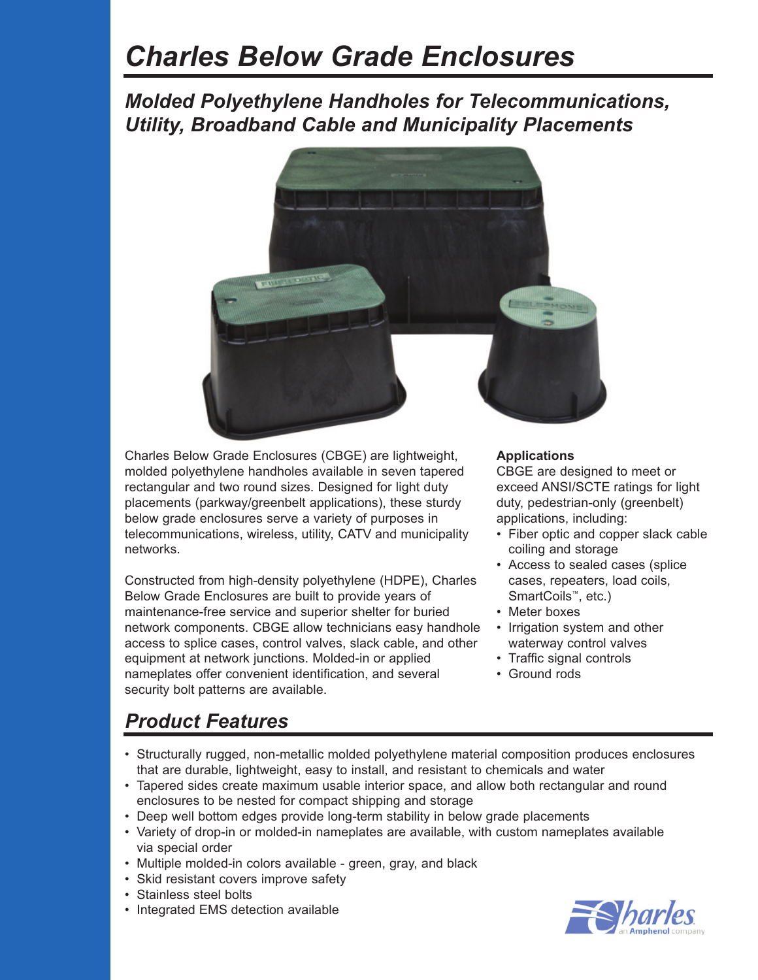# *Charles Below Grade Enclosures*

### *Molded Polyethylene Handholes for Telecommunications, Utility, Broadband Cable and Municipality Placements*



Charles Below Grade Enclosures (CBGE) are lightweight, molded polyethylene handholes available in seven tapered rectangular and two round sizes. Designed for light duty placements (parkway/greenbelt applications), these sturdy below grade enclosures serve a variety of purposes in telecommunications, wireless, utility, CATV and municipality networks.

Constructed from high-density polyethylene (HDPE), Charles Below Grade Enclosures are built to provide years of maintenance-free service and superior shelter for buried network components. CBGE allow technicians easy handhole access to splice cases, control valves, slack cable, and other equipment at network junctions. Molded-in or applied nameplates offer convenient identification, and several security bolt patterns are available.

#### **Applications**

CBGE are designed to meet or exceed ANSI/SCTE ratings for light duty, pedestrian-only (greenbelt) applications, including:

- Fiber optic and copper slack cable coiling and storage
- Access to sealed cases (splice cases, repeaters, load coils, SmartCoils™, etc.)
- Meter boxes
- Irrigation system and other waterway control valves
- Traffic signal controls
- Ground rods

## *Product Features*

- Structurally rugged, non-metallic molded polyethylene material composition produces enclosures that are durable, lightweight, easy to install, and resistant to chemicals and water
- Tapered sides create maximum usable interior space, and allow both rectangular and round enclosures to be nested for compact shipping and storage
- Deep well bottom edges provide long-term stability in below grade placements
- Variety of drop-in or molded-in nameplates are available, with custom nameplates available via special order
- Multiple molded-in colors available green, gray, and black
- Skid resistant covers improve safety
- Stainless steel bolts
- Integrated EMS detection available

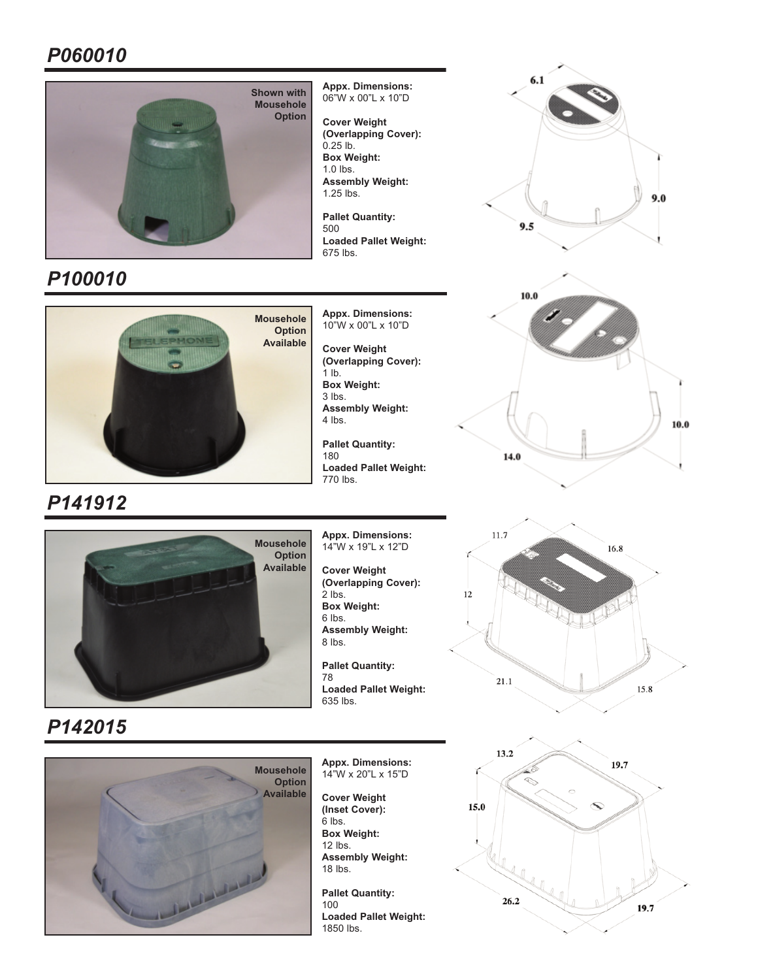### *P060010*



*P100010*



*P141912*

**Appx. Dimensions:**  06"W x 00"L x 10"D

> **Cover Weight (Overlapping Cover):**   $0.25$  lb. **Box Weight:**  1.0 lbs. **Assembly Weight:**  1.25 lbs.

**Pallet Quantity:**  500 **Loaded Pallet Weight:**  675 lbs.

**Appx. Dimensions:**  10"W x 00"L x 10"D

**Cover Weight (Overlapping Cover):**   $1$  lb. **Box Weight:**  3 lbs. **Assembly Weight:**  4 lbs.

**Pallet Quantity:**  180 **Loaded Pallet Weight:**  770 lbs.



**Appx. Dimensions:**  14"W x 19"L x 12"D

**Cover Weight (Overlapping Cover):**   $2$  lbs. **Box Weight:**  6 lbs. **Assembly Weight:**  8 lbs.

**Pallet Quantity:**  78 **Loaded Pallet Weight:**  635 lbs.







*P142015*



**Appx. Dimensions:**  14"W x 20"L x 15"D

**Cover Weight (Inset Cover):**   $6$  lbs. **Box Weight:**  12 lbs.

**Assembly Weight:**  18 lbs.

**Pallet Quantity:**  100 **Loaded Pallet Weight:**  1850 lbs.

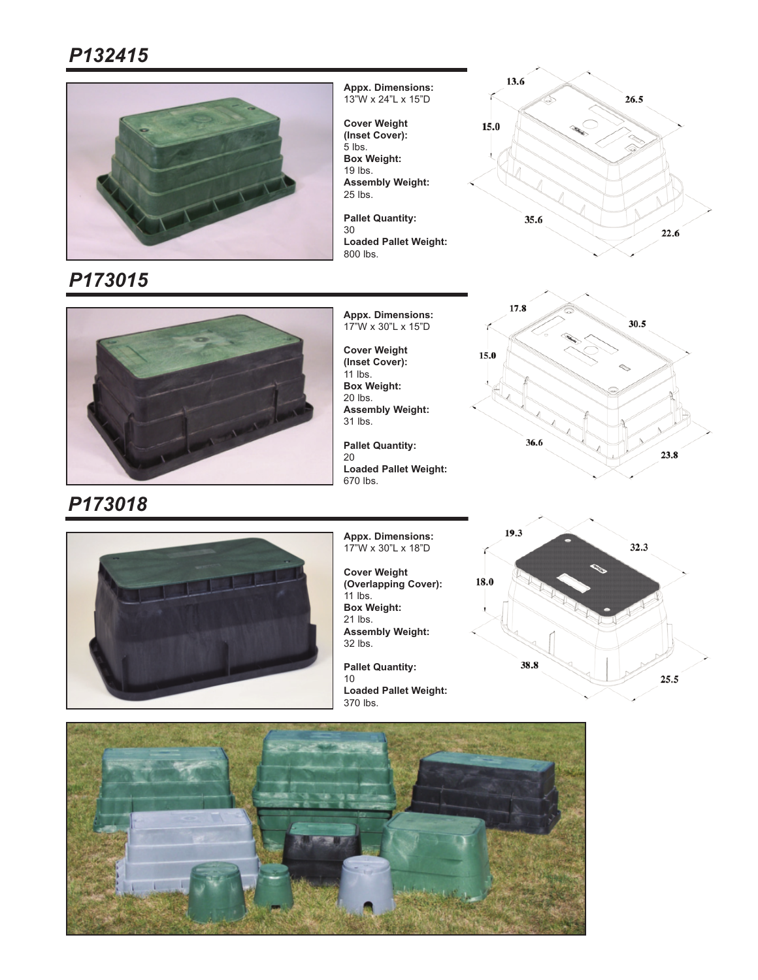

*P173015*

**Appx. Dimensions:**  13"W x 24"L x 15"D

**Cover Weight (Inset Cover):**  5 lbs. **Box Weight:**  19 lbs. **Assembly Weight:**  25 lbs.

**Pallet Quantity:**  30 **Loaded Pallet Weight:**  800 lbs.





**Appx. Dimensions:**  17"W x 30"L x 15"D

**Cover Weight (Inset Cover):**  11 lbs. **Box Weight:**  20 lbs. **Assembly Weight:**  31 lbs.

**Pallet Quantity:**  20 **Loaded Pallet Weight:**  670 lbs.





**Appx. Dimensions:**  17"W x 30"L x 18"D

**Cover Weight (Overlapping Cover):**  11 lbs. **Box Weight:**  21 lbs. **Assembly Weight:**  32 lbs. **Pallet Quantity:** 

10 **Loaded Pallet Weight:**  370 lbs.